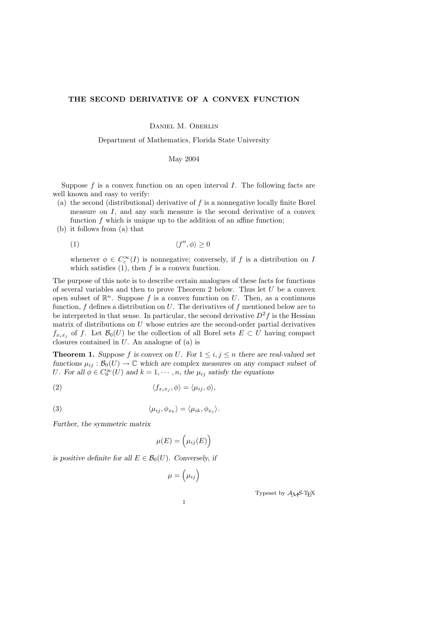## THE SECOND DERIVATIVE OF A CONVEX FUNCTION

Daniel M. Oberlin

Department of Mathematics, Florida State University

May 2004

Suppose  $f$  is a convex function on an open interval  $I$ . The following facts are well known and easy to verify:

- (a) the second (distributional) derivative of f is a nonnegative locally finite Borel measure on I, and any such measure is the second derivative of a convex function  $f$  which is unique up to the addition of an affine function;
- (b) it follows from (a) that

$$
(1) \t\t \langle f'', \phi \rangle \ge 0
$$

whenever  $\phi \in C_c^{\infty}(I)$  is nonnegative; conversely, if f is a distribution on I which satisfies  $(1)$ , then f is a convex function.

The purpose of this note is to describe certain analogues of these facts for functions of several variables and then to prove Theorem 2 below. Thus let  $U$  be a convex open subset of  $\mathbb{R}^n$ . Suppose f is a convex function on U. Then, as a continuous function,  $f$  defines a distribution on  $U$ . The derivatives of  $f$  mentioned below are to be interpreted in that sense. In particular, the second derivative  $D^2 f$  is the Hessian matrix of distributions on  $U$  whose entries are the second-order partial derivatives  $f_{x_ix_j}$  of f. Let  $\mathcal{B}_0(U)$  be the collection of all Borel sets  $E\subset U$  having compact closures contained in U. An analogue of (a) is

**Theorem 1.** Suppose f is convex on U. For  $1 \leq i, j \leq n$  there are real-valued set functions  $\mu_{ij} : \mathcal{B}_0(U) \to \mathbb{C}$  which are complex measures on any compact subset of U. For all  $\phi \in C_0^{\infty}(U)$  and  $k = 1, \dots, n$ , the  $\mu_{ij}$  satisfy the equations

(2) 
$$
\langle f_{x_ix_j}, \phi \rangle = \langle \mu_{ij}, \phi \rangle,
$$

(3) 
$$
\langle \mu_{ij}, \phi_{x_k} \rangle = \langle \mu_{ik}, \phi_{x_j} \rangle.
$$

Further, the symmetric matrix

$$
\mu(E) = \left(\mu_{ij}(E)\right)
$$

is positive definite for all  $E \in \mathcal{B}_0(U)$ . Conversely, if

 $\mu = \begin{pmatrix} \mu_{ij} \end{pmatrix}$ 

Typeset by  $\mathcal{A}\mathcal{M}$ S-TEX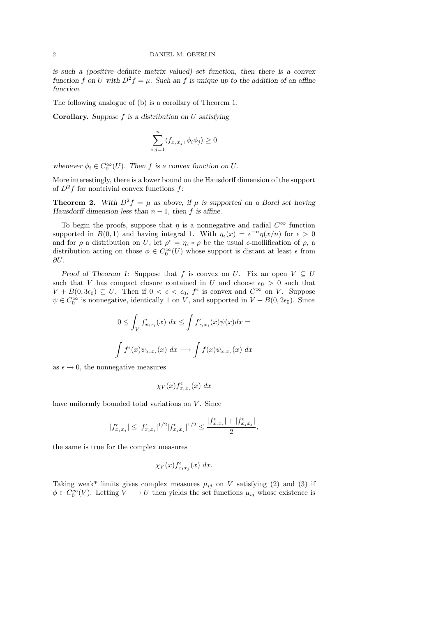is such a (positive definite matrix valued) set function, then there is a convex function f on U with  $D^2 f = \mu$ . Such an f is unique up to the addition of an affine function.

The following analogue of (b) is a corollary of Theorem 1.

**Corollary.** Suppose  $f$  is a distribution on  $U$  satisfying

$$
\sum_{i,j=1}^{n} \langle f_{x_ix_j}, \phi_i \phi_j \rangle \ge 0
$$

whenever  $\phi_i \in C_0^{\infty}(U)$ . Then f is a convex function on U.

More interestingly, there is a lower bound on the Hausdorff dimension of the support of  $D^2f$  for nontrivial convex functions f:

**Theorem 2.** With  $D^2 f = \mu$  as above, if  $\mu$  is supported on a Borel set having Hausdorff dimension less than  $n-1$ , then f is affine.

To begin the proofs, suppose that  $\eta$  is a nonnegative and radial  $C^{\infty}$  function supported in  $B(0,1)$  and having integral 1. With  $\eta_{\epsilon}(x) = \epsilon^{-n} \eta(x/n)$  for  $\epsilon > 0$ and for  $\rho$  a distribution on U, let  $\rho^{\epsilon} = \eta_{\epsilon} * \rho$  be the usual  $\epsilon$ -mollification of  $\rho$ , a distribution acting on those  $\phi \in C_0^{\infty}(U)$  whose support is distant at least  $\epsilon$  from  $\partial U$ .

Proof of Theorem 1: Suppose that f is convex on U. Fix an open  $V \subseteq U$ such that V has compact closure contained in U and choose  $\epsilon_0 > 0$  such that  $V + B(0, 3\epsilon_0) \subseteq U$ . Then if  $0 < \epsilon < \epsilon_0$ ,  $f^{\epsilon}$  is convex and  $C^{\infty}$  on V. Suppose  $\psi \in C_0^{\infty}$  is nonnegative, identically 1 on V, and supported in  $V + B(0, 2\epsilon_0)$ . Since

$$
0 \leq \int_{V} f^{\epsilon}_{x_i x_i}(x) dx \leq \int f^{\epsilon}_{x_i x_i}(x) \psi(x) dx =
$$
  

$$
\int f^{\epsilon}(x) \psi_{x_i x_i}(x) dx \longrightarrow \int f(x) \psi_{x_i x_i}(x) dx
$$

as  $\epsilon \to 0$ , the nonnegative measures

$$
\chi_V(x) f_{x_i x_i}^{\epsilon}(x) \; dx
$$

have uniformly bounded total variations on  $V$ . Since

$$
|f^{\epsilon}_{x_ix_j}|\leq |f^{\epsilon}_{x_ix_i}|^{1/2}|f^{\epsilon}_{x_jx_j}|^{1/2}\leq \frac{|f^{\epsilon}_{x_ix_i}|+|f^{\epsilon}_{x_jx_j}|}{2},
$$

the same is true for the complex measures

$$
\chi_V(x) f_{x_ix_j}^{\epsilon}(x) \, dx.
$$

Taking weak\* limits gives complex measures  $\mu_{ij}$  on V satisfying (2) and (3) if  $\phi \in C_0^{\infty}(V)$ . Letting  $V \longrightarrow U$  then yields the set functions  $\mu_{ij}$  whose existence is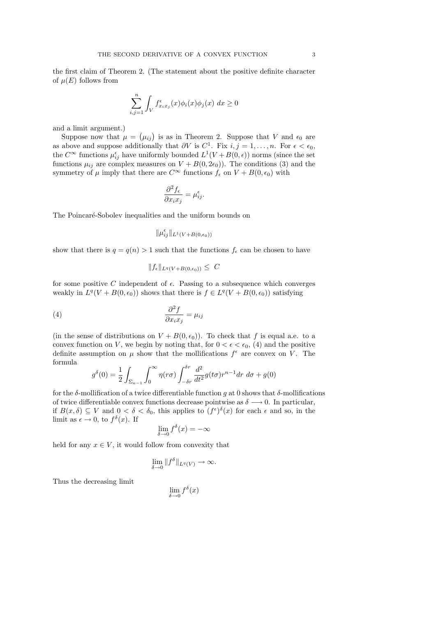the first claim of Theorem 2. (The statement about the positive definite character of  $\mu(E)$  follows from

$$
\sum_{i,j=1}^{n} \int_{V} f_{x_i x_j}^{\epsilon}(x) \phi_i(x) \phi_j(x) dx \ge 0
$$

and a limit argument.)

Suppose now that  $\mu = (\mu_{ij})$  is as in Theorem 2. Suppose that V and  $\epsilon_0$  are as above and suppose additionally that  $\partial V$  is  $C^1$ . Fix  $i, j = 1, ..., n$ . For  $\epsilon < \epsilon_0$ , the  $C^{\infty}$  functions  $\mu_{ij}^{\epsilon}$  have uniformly bounded  $L^{1}(V + B(0, \epsilon))$  norms (since the set functions  $\mu_{ij}$  are complex measures on  $V + B(0, 2\epsilon_0)$ . The conditions (3) and the symmetry of  $\mu$  imply that there are  $C^{\infty}$  functions  $f_{\epsilon}$  on  $V + B(0, \epsilon_0)$  with

$$
\frac{\partial^2 f_{\epsilon}}{\partial x_i x_j} = \mu_{ij}^{\epsilon}.
$$

The Poincaré-Sobolev inequalities and the uniform bounds on

$$
\|\mu_{ij}^\epsilon\|_{L^1(V+B(0,\epsilon_0))}
$$

show that there is  $q = q(n) > 1$  such that the functions  $f_{\epsilon}$  can be chosen to have

$$
||f_{\epsilon}||_{L^{q}(V+B(0,\epsilon_0))} \leq C
$$

for some positive C independent of  $\epsilon$ . Passing to a subsequence which converges weakly in  $L^q(V + B(0, \epsilon_0))$  shows that there is  $f \in L^q(V + B(0, \epsilon_0))$  satisfying

$$
\frac{\partial^2 f}{\partial x_i x_j} = \mu_{ij}
$$

(in the sense of distributions on  $V + B(0, \epsilon_0)$ ). To check that f is equal a.e. to a convex function on V, we begin by noting that, for  $0 < \epsilon < \epsilon_0$ , (4) and the positive definite assumption on  $\mu$  show that the mollifications  $f^{\epsilon}$  are convex on V. The formula

$$
g^{\delta}(0) = \frac{1}{2} \int_{\Sigma_{n-1}} \int_0^{\infty} \eta(r\sigma) \int_{-\delta r}^{\delta r} \frac{d^2}{dt^2} g(t\sigma) r^{n-1} dr d\sigma + g(0)
$$

for the δ-mollification of a twice differentiable function g at 0 shows that δ-mollifications of twice differentiable convex functions decrease pointwise as  $\delta \longrightarrow 0$ . In particular, if  $B(x,\delta) \subseteq V$  and  $0 < \delta < \delta_0$ , this applies to  $(f^{\epsilon})^{\delta}(x)$  for each  $\epsilon$  and so, in the limit as  $\epsilon \to 0$ , to  $f^{\delta}(x)$ . If

$$
\lim_{\delta \to 0} f^{\delta}(x) = -\infty
$$

held for any  $x \in V$ , it would follow from convexity that

$$
\lim_{\delta \to 0} \|f^{\delta}\|_{L^{q}(V)} \to \infty.
$$

Thus the decreasing limit

$$
\lim_{\delta \to 0} f^{\delta}(x)
$$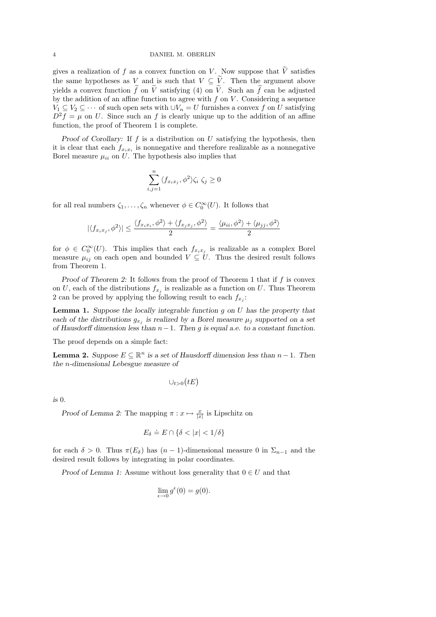gives a realization of f as a convex function on V. Now suppose that  $\tilde{V}$  satisfies the same hypotheses as V and is such that  $V \subseteq \tilde{V}$ . Then the argument above yields a convex function  $\tilde{f}$  on  $\tilde{V}$  satisfying (4) on  $\tilde{V}$ . Such an  $\tilde{f}$  can be adjusted by the addition of an affine function to agree with  $f$  on  $V$ . Considering a sequence  $V_1 \subseteq V_2 \subseteq \cdots$  of such open sets with  $\cup V_n = U$  furnishes a convex f on U satisfying  $D^2 f = \mu$  on U. Since such an f is clearly unique up to the addition of an affine function, the proof of Theorem 1 is complete.

Proof of Corollary: If  $f$  is a distribution on  $U$  satisfying the hypothesis, then it is clear that each  $f_{x_ix_i}$  is nonnegative and therefore realizable as a nonnegative Borel measure  $\mu_{ii}$  on U. The hypothesis also implies that

$$
\sum_{i,j=1}^n \langle f_{x_ix_j}, \phi^2 \rangle \zeta_i \; \zeta_j \geq 0
$$

for all real numbers  $\zeta_1, \ldots, \zeta_n$  whenever  $\phi \in C_0^{\infty}(U)$ . It follows that

$$
|\langle f_{x_ix_j},\phi^2\rangle|\leq \frac{\langle f_{x_ix_i},\phi^2\rangle+\langle f_{x_jx_j},\phi^2\rangle}{2}=\frac{\langle \mu_{ii},\phi^2\rangle+\langle \mu_{jj},\phi^2\rangle}{2}
$$

for  $\phi \in C_0^{\infty}(U)$ . This implies that each  $f_{x_ix_j}$  is realizable as a complex Borel measure  $\mu_{ij}$  on each open and bounded  $V \subseteq U$ . Thus the desired result follows from Theorem 1.

Proof of Theorem 2: It follows from the proof of Theorem 1 that if f is convex on U, each of the distributions  $f_{x_j}$  is realizable as a function on U. Thus Theorem 2 can be proved by applying the following result to each  $f_{x_j}$ :

**Lemma 1.** Suppose the locally integrable function  $g$  on  $U$  has the property that each of the distributions  $g_{x_j}$  is realized by a Borel measure  $\mu_j$  supported on a set of Hausdorff dimension less than  $n-1$ . Then g is equal a.e. to a constant function.

The proof depends on a simple fact:

**Lemma 2.** Suppose  $E \subseteq \mathbb{R}^n$  is a set of Hausdorff dimension less than  $n-1$ . Then the n-dimensional Lebesgue measure of

$$
\cup_{t>0}(tE)
$$

is 0.

Proof of Lemma 2: The mapping  $\pi : x \mapsto \frac{x}{|x|}$  is Lipschitz on

$$
E_{\delta} \doteq E \cap \{\delta < |x| < 1/\delta\}
$$

for each  $\delta > 0$ . Thus  $\pi(E_{\delta})$  has  $(n-1)$ -dimensional measure 0 in  $\Sigma_{n-1}$  and the desired result follows by integrating in polar coordinates.

Proof of Lemma 1: Assume without loss generality that  $0 \in U$  and that

$$
\lim_{\epsilon \to 0} g^{\epsilon}(0) = g(0).
$$